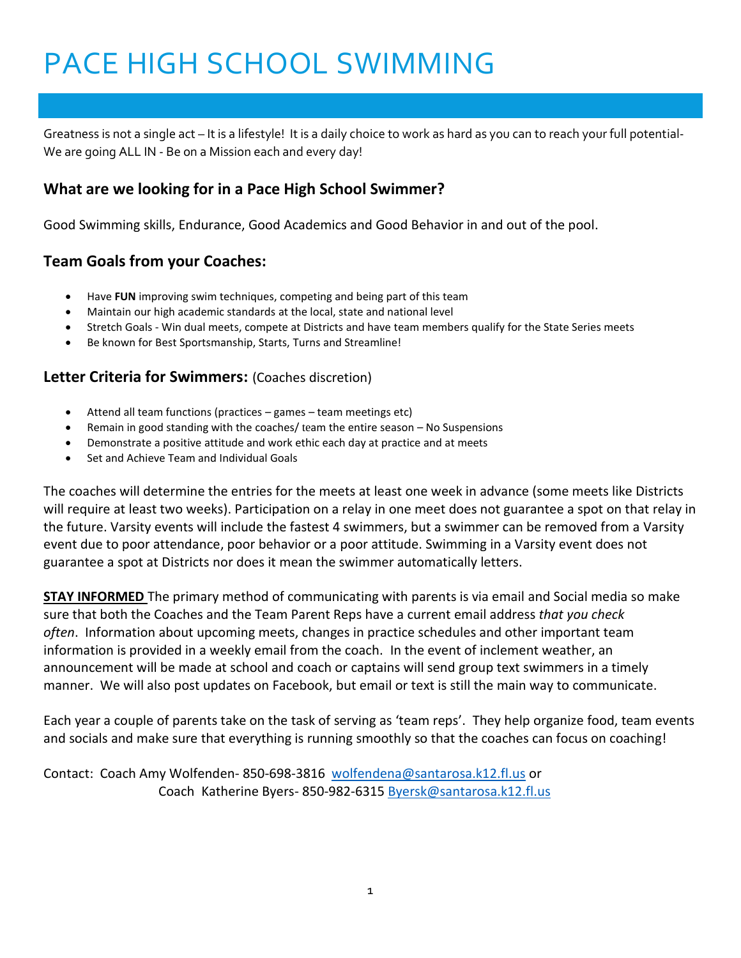# PACE HIGH SCHOOL SWIMMING

Greatness is not a single act – It is a lifestyle! It is a daily choice to work as hard as you can to reach your full potential-We are going ALL IN - Be on a Mission each and every day!

# **What are we looking for in a Pace High School Swimmer?**

Good Swimming skills, Endurance, Good Academics and Good Behavior in and out of the pool.

# **Team Goals from your Coaches:**

- Have **FUN** improving swim techniques, competing and being part of this team
- Maintain our high academic standards at the local, state and national level
- Stretch Goals Win dual meets, compete at Districts and have team members qualify for the State Series meets
- Be known for Best Sportsmanship, Starts, Turns and Streamline!

### **Letter Criteria for Swimmers:** (Coaches discretion)

- Attend all team functions (practices games team meetings etc)
- Remain in good standing with the coaches/ team the entire season No Suspensions
- Demonstrate a positive attitude and work ethic each day at practice and at meets
- Set and Achieve Team and Individual Goals

The coaches will determine the entries for the meets at least one week in advance (some meets like Districts will require at least two weeks). Participation on a relay in one meet does not guarantee a spot on that relay in the future. Varsity events will include the fastest 4 swimmers, but a swimmer can be removed from a Varsity event due to poor attendance, poor behavior or a poor attitude. Swimming in a Varsity event does not guarantee a spot at Districts nor does it mean the swimmer automatically letters.

**STAY INFORMED** The primary method of communicating with parents is via email and Social media so make sure that both the Coaches and the Team Parent Reps have a current email address *that you check often*. Information about upcoming meets, changes in practice schedules and other important team information is provided in a weekly email from the coach. In the event of inclement weather, an announcement will be made at school and coach or captains will send group text swimmers in a timely manner. We will also post updates on Facebook, but email or text is still the main way to communicate.

Each year a couple of parents take on the task of serving as 'team reps'. They help organize food, team events and socials and make sure that everything is running smoothly so that the coaches can focus on coaching!

Contact: Coach Amy Wolfenden- 850-698-3816 [wolfendena@santarosa.k12.fl.us](mailto:wolfendena@santarosa.k12.fl.us) or Coach Katherine Byers- 850-982-6315 [Byersk@santarosa.k12.fl.us](mailto:Byersk@santarosa.k12.fl.us)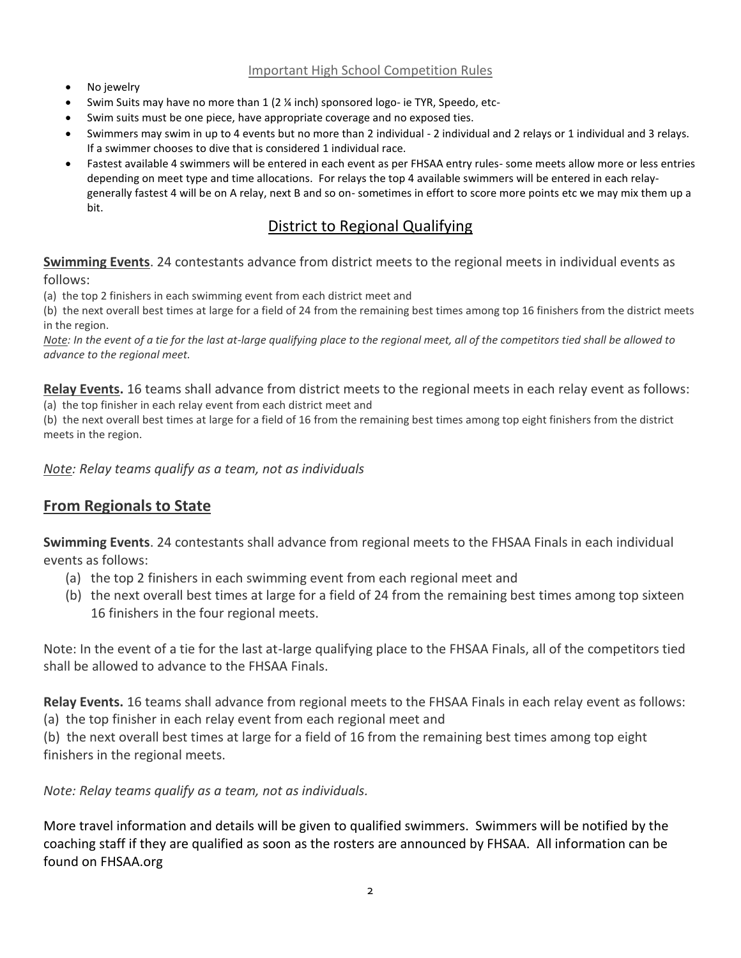#### Important High School Competition Rules

- No jewelry
- Swim Suits may have no more than 1 (2 ¼ inch) sponsored logo- ie TYR, Speedo, etc-
- Swim suits must be one piece, have appropriate coverage and no exposed ties.
- Swimmers may swim in up to 4 events but no more than 2 individual 2 individual and 2 relays or 1 individual and 3 relays. If a swimmer chooses to dive that is considered 1 individual race.
- Fastest available 4 swimmers will be entered in each event as per FHSAA entry rules- some meets allow more or less entries depending on meet type and time allocations. For relays the top 4 available swimmers will be entered in each relaygenerally fastest 4 will be on A relay, next B and so on- sometimes in effort to score more points etc we may mix them up a bit.

# District to Regional Qualifying

**Swimming Events**. 24 contestants advance from district meets to the regional meets in individual events as follows:

(a) the top 2 finishers in each swimming event from each district meet and

(b) the next overall best times at large for a field of 24 from the remaining best times among top 16 finishers from the district meets in the region.

*Note: In the event of a tie for the last at-large qualifying place to the regional meet, all of the competitors tied shall be allowed to advance to the regional meet.*

**Relay Events.** 16 teams shall advance from district meets to the regional meets in each relay event as follows: (a) the top finisher in each relay event from each district meet and

(b) the next overall best times at large for a field of 16 from the remaining best times among top eight finishers from the district meets in the region.

*Note: Relay teams qualify as a team, not as individuals*

## **From Regionals to State**

**Swimming Events**. 24 contestants shall advance from regional meets to the FHSAA Finals in each individual events as follows:

- (a) the top 2 finishers in each swimming event from each regional meet and
- (b) the next overall best times at large for a field of 24 from the remaining best times among top sixteen 16 finishers in the four regional meets.

Note: In the event of a tie for the last at-large qualifying place to the FHSAA Finals, all of the competitors tied shall be allowed to advance to the FHSAA Finals.

**Relay Events.** 16 teams shall advance from regional meets to the FHSAA Finals in each relay event as follows:

(a) the top finisher in each relay event from each regional meet and

(b) the next overall best times at large for a field of 16 from the remaining best times among top eight finishers in the regional meets.

*Note: Relay teams qualify as a team, not as individuals.*

More travel information and details will be given to qualified swimmers. Swimmers will be notified by the coaching staff if they are qualified as soon as the rosters are announced by FHSAA. All information can be found on FHSAA.org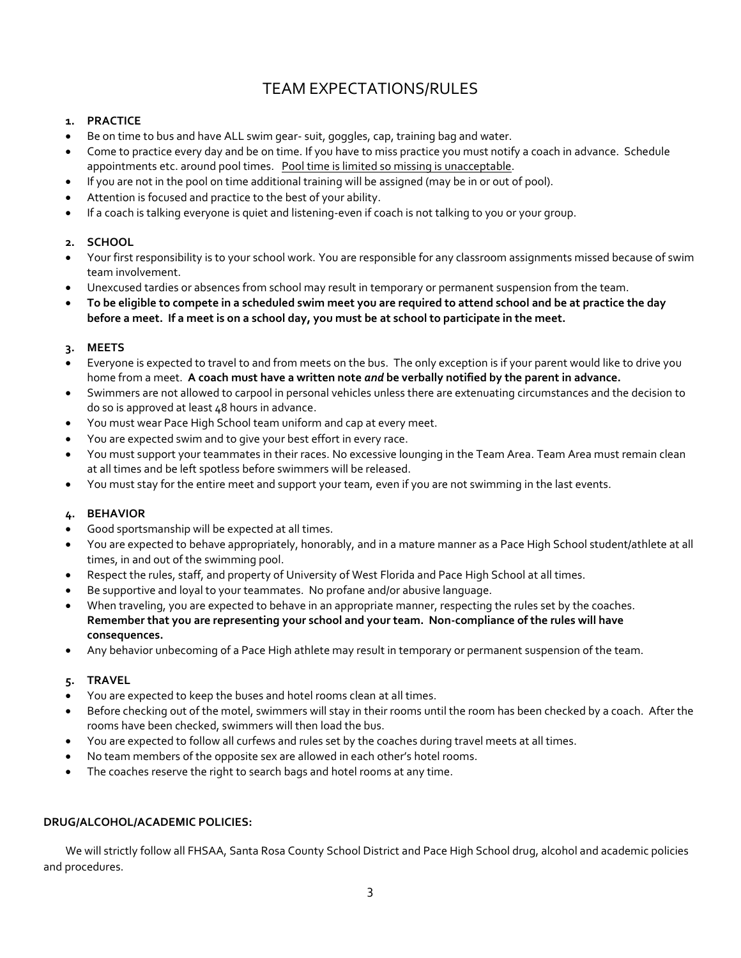# TEAM EXPECTATIONS/RULES

#### **1. PRACTICE**

- Be on time to bus and have ALL swim gear- suit, goggles, cap, training bag and water.
- Come to practice every day and be on time. If you have to miss practice you must notify a coach in advance. Schedule appointments etc. around pool times. Pool time is limited so missing is unacceptable.
- If you are not in the pool on time additional training will be assigned (may be in or out of pool).
- Attention is focused and practice to the best of your ability.
- If a coach is talking everyone is quiet and listening-even if coach is not talking to you or your group.

#### **2. SCHOOL**

- Your first responsibility is to your school work. You are responsible for any classroom assignments missed because of swim team involvement.
- Unexcused tardies or absences from school may result in temporary or permanent suspension from the team.
- **To be eligible to compete in a scheduled swim meet you are required to attend school and be at practice the day before a meet. If a meet is on a school day, you must be at school to participate in the meet.**

#### **3. MEETS**

- Everyone is expected to travel to and from meets on the bus. The only exception is if your parent would like to drive you home from a meet. **A coach must have a written note** *and* **be verbally notified by the parent in advance.**
- Swimmers are not allowed to carpool in personal vehicles unless there are extenuating circumstances and the decision to do so is approved at least 48 hours in advance.
- You must wear Pace High School team uniform and cap at every meet.
- You are expected swim and to give your best effort in every race.
- You must support your teammates in their races. No excessive lounging in the Team Area. Team Area must remain clean at all times and be left spotless before swimmers will be released.
- You must stay for the entire meet and support your team, even if you are not swimming in the last events.

#### **4. BEHAVIOR**

- Good sportsmanship will be expected at all times.
- You are expected to behave appropriately, honorably, and in a mature manner as a Pace High School student/athlete at all times, in and out of the swimming pool.
- Respect the rules, staff, and property of University of West Florida and Pace High School at all times.
- Be supportive and loyal to your teammates. No profane and/or abusive language.
- When traveling, you are expected to behave in an appropriate manner, respecting the rules set by the coaches. **Remember that you are representing your school and your team. Non-compliance of the rules will have consequences.**
- Any behavior unbecoming of a Pace High athlete may result in temporary or permanent suspension of the team.

#### **5. TRAVEL**

- You are expected to keep the buses and hotel rooms clean at all times.
- Before checking out of the motel, swimmers will stay in their rooms until the room has been checked by a coach. After the rooms have been checked, swimmers will then load the bus.
- You are expected to follow all curfews and rules set by the coaches during travel meets at all times.
- No team members of the opposite sex are allowed in each other's hotel rooms.
- The coaches reserve the right to search bags and hotel rooms at any time.

#### **DRUG/ALCOHOL/ACADEMIC POLICIES:**

 We will strictly follow all FHSAA, Santa Rosa County School District and Pace High School drug, alcohol and academic policies and procedures.